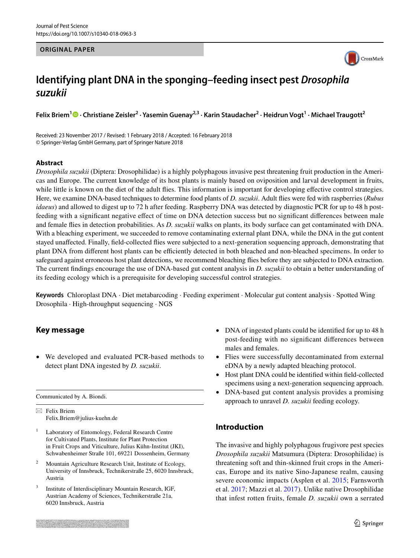#### **ORIGINAL PAPER**



# **Identifying plant DNA in the sponging–feeding insect pest** *Drosophila suzukii*

**Felix Briem1 · Christiane Zeisler2 · Yasemin Guenay2,3 · Karin Staudacher2 · Heidrun Vogt1 · Michael Traugott2**

Received: 23 November 2017 / Revised: 1 February 2018 / Accepted: 16 February 2018 © Springer-Verlag GmbH Germany, part of Springer Nature 2018

## **Abstract**

*Drosophila suzukii* (Diptera: Drosophilidae) is a highly polyphagous invasive pest threatening fruit production in the Americas and Europe. The current knowledge of its host plants is mainly based on oviposition and larval development in fruits, while little is known on the diet of the adult flies. This information is important for developing effective control strategies. Here, we examine DNA-based techniques to determine food plants of *D. suzukii*. Adult fies were fed with raspberries (*Rubus idaeus*) and allowed to digest up to 72 h after feeding. Raspberry DNA was detected by diagnostic PCR for up to 48 h postfeeding with a signifcant negative efect of time on DNA detection success but no signifcant diferences between male and female fies in detection probabilities. As *D. suzukii* walks on plants, its body surface can get contaminated with DNA. With a bleaching experiment, we succeeded to remove contaminating external plant DNA, while the DNA in the gut content stayed unafected. Finally, feld-collected fies were subjected to a next-generation sequencing approach, demonstrating that plant DNA from different host plants can be efficiently detected in both bleached and non-bleached specimens. In order to safeguard against erroneous host plant detections, we recommend bleaching fies before they are subjected to DNA extraction. The current fndings encourage the use of DNA-based gut content analysis in *D. suzukii* to obtain a better understanding of its feeding ecology which is a prerequisite for developing successful control strategies.

**Keywords** Chloroplast DNA · Diet metabarcoding · Feeding experiment · Molecular gut content analysis · Spotted Wing Drosophila · High-throughput sequencing · NGS

# **Key message**

• We developed and evaluated PCR-based methods to detect plant DNA ingested by *D. suzukii*.

Communicated by A. Biondi.

 $\boxtimes$  Felix Briem Felix.Briem@julius-kuehn.de

- Laboratory of Entomology, Federal Research Centre for Cultivated Plants, Institute for Plant Protection in Fruit Crops and Viticulture, Julius Kühn-Institut (JKI), Schwabenheimer Straße 101, 69221 Dossenheim, Germany
- <sup>2</sup> Mountain Agriculture Research Unit, Institute of Ecology, University of Innsbruck, Technikerstraße 25, 6020 Innsbruck, Austria
- Institute of Interdisciplinary Mountain Research, IGF, Austrian Academy of Sciences, Technikerstraße 21a, 6020 Innsbruck, Austria
- DNA of ingested plants could be identified for up to 48 h post-feeding with no signifcant diferences between males and females.
- Flies were successfully decontaminated from external eDNA by a newly adapted bleaching protocol.
- Host plant DNA could be identifed within feld-collected specimens using a next-generation sequencing approach.
- DNA-based gut content analysis provides a promising approach to unravel *D. suzukii* feeding ecology.

# **Introduction**

The invasive and highly polyphagous frugivore pest species *Drosophila suzukii* Matsumura (Diptera: Drosophilidae) is threatening soft and thin-skinned fruit crops in the Americas, Europe and its native Sino-Japanese realm, causing severe economic impacts (Asplen et al. [2015;](#page-7-0) Farnsworth et al. [2017](#page-8-0); Mazzi et al. [2017\)](#page-8-1). Unlike native Drosophilidae that infest rotten fruits, female *D. suzukii* own a serrated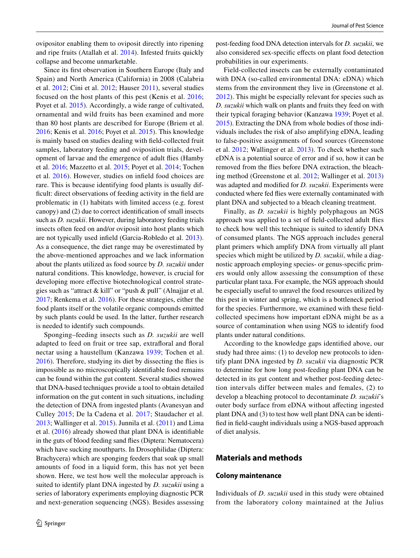ovipositor enabling them to oviposit directly into ripening and ripe fruits (Atallah et al. [2014\)](#page-7-1). Infested fruits quickly collapse and become unmarketable.

Since its frst observation in Southern Europe (Italy and Spain) and North America (California) in 2008 (Calabria et al. [2012](#page-7-2); Cini et al. [2012](#page-8-2); Hauser [2011\)](#page-8-3), several studies focused on the host plants of this pest (Kenis et al. [2016](#page-8-4); Poyet et al. [2015](#page-8-5)). Accordingly, a wide range of cultivated, ornamental and wild fruits has been examined and more than 80 host plants are described for Europe (Briem et al. [2016](#page-7-3); Kenis et al. [2016;](#page-8-4) Poyet et al. [2015\)](#page-8-5). This knowledge is mainly based on studies dealing with feld-collected fruit samples, laboratory feeding and oviposition trials, development of larvae and the emergence of adult fies (Hamby et al. [2016](#page-8-6); Mazzetto et al. [2015](#page-8-7); Poyet et al. [2014](#page-8-8); Tochen et al. [2016](#page-9-0)). However, studies on infeld food choices are rare. This is because identifying food plants is usually difficult: direct observations of feeding activity in the field are problematic in (1) habitats with limited access (e.g. forest canopy) and (2) due to correct identifcation of small insects such as *D. suzukii*. However, during laboratory feeding trials insects often feed on and/or oviposit into host plants which are not typically used infeld (Garcia-Robledo et al. [2013](#page-8-9)). As a consequence, the diet range may be overestimated by the above-mentioned approaches and we lack information about the plants utilized as food source by *D. suzukii* under natural conditions. This knowledge, however, is crucial for developing more efective biotechnological control strategies such as "attract & kill" or "push & pull" (Alnajjar et al. [2017](#page-7-4); Renkema et al. [2016](#page-8-10)). For these strategies, either the food plants itself or the volatile organic compounds emitted by such plants could be used. In the latter, further research is needed to identify such compounds.

Sponging–feeding insects such as *D. suzukii* are well adapted to feed on fruit or tree sap, extraforal and foral nectar using a haustellum (Kanzawa [1939](#page-8-11); Tochen et al. [2016](#page-9-0)). Therefore, studying its diet by dissecting the fies is impossible as no microscopically identifable food remains can be found within the gut content. Several studies showed that DNA-based techniques provide a tool to obtain detailed information on the gut content in such situations, including the detection of DNA from ingested plants (Avanesyan and Culley [2015](#page-7-5); De la Cadena et al. [2017](#page-8-12); Staudacher et al. [2013](#page-8-13); Wallinger et al. [2015](#page-9-1)). Junnila et al. [\(2011](#page-8-14)) and Lima et al. ([2016](#page-8-15)) already showed that plant DNA is identifable in the guts of blood feeding sand fies (Diptera: Nematocera) which have sucking mouthparts. In Drosophilidae (Diptera: Brachycera) which are sponging feeders that soak up small amounts of food in a liquid form, this has not yet been shown. Here, we test how well the molecular approach is suited to identify plant DNA ingested by *D. suzukii* using a series of laboratory experiments employing diagnostic PCR and next-generation sequencing (NGS). Besides assessing

post-feeding food DNA detection intervals for *D. suzukii*, we also considered sex-specifc efects on plant food detection probabilities in our experiments.

Field-collected insects can be externally contaminated with DNA (so-called environmental DNA: eDNA) which stems from the environment they live in (Greenstone et al. [2012](#page-8-16)). This might be especially relevant for species such as *D. suzukii* which walk on plants and fruits they feed on with their typical foraging behavior (Kanzawa [1939](#page-8-11); Poyet et al. [2015](#page-8-5)). Extracting the DNA from whole bodies of those individuals includes the risk of also amplifying eDNA, leading to false-positive assignments of food sources (Greenstone et al. [2012](#page-8-16); Wallinger et al. [2013](#page-9-2)). To check whether such eDNA is a potential source of error and if so, how it can be removed from the fies before DNA extraction, the bleaching method (Greenstone et al. [2012;](#page-8-16) Wallinger et al. [2013\)](#page-9-2) was adapted and modifed for *D. suzukii*. Experiments were conducted where fed fies were externally contaminated with plant DNA and subjected to a bleach cleaning treatment.

Finally, as *D. suzukii* is highly polyphagous an NGS approach was applied to a set of feld-collected adult fies to check how well this technique is suited to identify DNA of consumed plants. The NGS approach includes general plant primers which amplify DNA from virtually all plant species which might be utilized by *D. suzukii*, while a diagnostic approach employing species- or genus-specifc primers would only allow assessing the consumption of these particular plant taxa. For example, the NGS approach should be especially useful to unravel the food resources utilized by this pest in winter and spring, which is a bottleneck period for the species. Furthermore, we examined with these feldcollected specimens how important eDNA might be as a source of contamination when using NGS to identify food plants under natural conditions.

According to the knowledge gaps identifed above, our study had three aims: (1) to develop new protocols to identify plant DNA ingested by *D. suzukii* via diagnostic PCR to determine for how long post-feeding plant DNA can be detected in its gut content and whether post-feeding detection intervals differ between males and females, (2) to develop a bleaching protocol to decontaminate *D. suzukii*'s outer body surface from eDNA without afecting ingested plant DNA and (3) to test how well plant DNA can be identifed in feld-caught individuals using a NGS-based approach of diet analysis.

## **Materials and methods**

#### **Colony maintenance**

Individuals of *D. suzukii* used in this study were obtained from the laboratory colony maintained at the Julius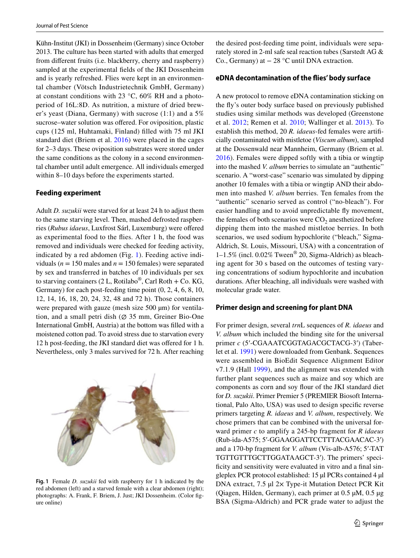Kühn-Institut (JKI) in Dossenheim (Germany) since October 2013. The culture has been started with adults that emerged from diferent fruits (i.e. blackberry, cherry and raspberry) sampled at the experimental felds of the JKI Dossenheim and is yearly refreshed. Flies were kept in an environmental chamber (Vötsch Industrietechnik GmbH, Germany) at constant conditions with 23 °C, 60% RH and a photoperiod of 16L:8D. As nutrition, a mixture of dried brewer's yeast (Diana, Germany) with sucrose (1:1) and a 5% sucrose–water solution was offered. For oviposition, plastic cups (125 ml, Huhtamaki, Finland) flled with 75 ml JKI standard diet (Briem et al. [2016](#page-7-3)) were placed in the cages for 2–3 days. These oviposition substrates were stored under the same conditions as the colony in a second environmental chamber until adult emergence. All individuals emerged within 8–10 days before the experiments started.

#### **Feeding experiment**

Adult *D. suzukii* were starved for at least 24 h to adjust them to the same starving level. Then, mashed defrosted raspberries (*Rubus idaeus*, Luxfrost Sárl, Luxemburg) were ofered as experimental food to the fies. After 1 h, the food was removed and individuals were checked for feeding activity, indicated by a red abdomen (Fig. [1](#page-2-0)). Feeding active individuals ( $n = 150$  males and  $n = 150$  females) were separated by sex and transferred in batches of 10 individuals per sex to starving containers (2 L, Rotilabo®, Carl Roth + Co. KG, Germany) for each post-feeding time point (0, 2, 4, 6, 8, 10, 12, 14, 16, 18, 20, 24, 32, 48 and 72 h). Those containers were prepared with gauze (mesh size 500 µm) for ventilation, and a small petri dish  $(Ø 35 mm, Greiner Bio-One)$ International GmbH, Austria) at the bottom was flled with a moistened cotton pad. To avoid stress due to starvation every 12 h post-feeding, the JKI standard diet was ofered for 1 h. Nevertheless, only 3 males survived for 72 h. After reaching



<span id="page-2-0"></span>**Fig. 1** Female *D. suzukii* fed with raspberry for 1 h indicated by the red abdomen (left) and a starved female with a clear abdomen (right); photographs: A. Frank, F. Briem, J. Just; JKI Dossenheim. (Color fgure online)

the desired post-feeding time point, individuals were separately stored in 2-ml safe seal reaction tubes (Sarstedt AG & Co., Germany) at − 28 °C until DNA extraction.

#### **eDNA decontamination of the fies' body surface**

A new protocol to remove eDNA contamination sticking on the fy's outer body surface based on previously published studies using similar methods was developed (Greenstone et al. [2012;](#page-8-16) Remen et al. [2010](#page-8-17); Wallinger et al. [2013](#page-9-2)). To establish this method, 20 *R. idaeus*-fed females were artifcially contaminated with mistletoe (*Viscum album*), sampled at the Dossenwald near Mannheim, Germany (Briem et al. [2016\)](#page-7-3). Females were dipped softly with a tibia or wingtip into the mashed *V. album* berries to simulate an "authentic" scenario. A "worst-case" scenario was simulated by dipping another 10 females with a tibia or wingtip AND their abdomen into mashed *V. album* berries. Ten females from the "authentic" scenario served as control ("no-bleach"). For easier handling and to avoid unpredictable fy movement, the females of both scenarios were  $CO<sub>2</sub>$  anesthetized before dipping them into the mashed mistletoe berries. In both scenarios, we used sodium hypochlorite ("bleach," Sigma-Aldrich, St. Louis, Missouri, USA) with a concentration of 1–1.5% (incl. 0.02% Tween® 20, Sigma-Aldrich) as bleaching agent for 30 s based on the outcomes of testing varying concentrations of sodium hypochlorite and incubation durations. After bleaching, all individuals were washed with molecular grade water.

## **Primer design and screening for plant DNA**

For primer design, several *trn*L sequences of *R. idaeus* and *V. album* which included the binding site for the universal primer *c* (5′-CGAAATCGGTAGACGCTACG-3′) (Taberlet et al. [1991](#page-8-18)) were downloaded from Genbank. Sequences were assembled in BioEdit Sequence Alignment Editor v7.1.9 (Hall [1999\)](#page-8-19), and the alignment was extended with further plant sequences such as maize and soy which are components as corn and soy four of the JKI standard diet for *D. suzukii*. Primer Premier 5 (PREMIER Biosoft International, Palo Alto, USA) was used to design specifc reverse primers targeting *R. idaeus* and *V. album*, respectively. We chose primers that can be combined with the universal forward primer *c* to amplify a 245-bp fragment for *R idaeus* (Rub-ida-A575; 5′-GGAAGGATTCCTTTACGAACAC-3′) and a 170-bp fragment for *V. album* (Vis-alb-A576; 5′-TAT TGTTGTTTGCTTGGATAAGCT-3′). The primers' specificity and sensitivity were evaluated in vitro and a final singleplex PCR protocol established: 15 µl PCRs contained 4 µl DNA extract, 7.5 µl 2× Type-it Mutation Detect PCR Kit (Qiagen, Hilden, Germany), each primer at 0.5 µM, 0.5 µg BSA (Sigma-Aldrich) and PCR grade water to adjust the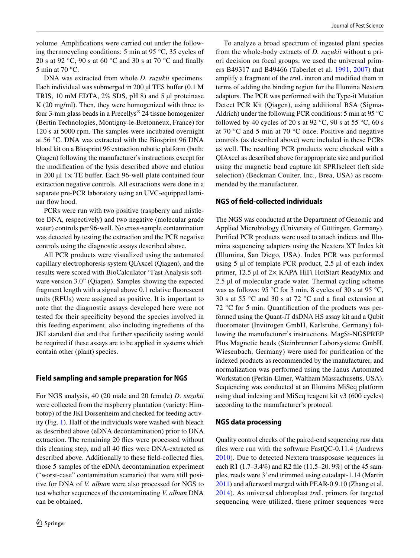volume. Amplifcations were carried out under the following thermocycling conditions: 5 min at 95 °C, 35 cycles of 20 s at 92 °C, 90 s at 60 °C and 30 s at 70 °C and fnally 5 min at 70 °C.

DNA was extracted from whole *D. suzukii* specimens. Each individual was submerged in 200 µl TES buffer (0.1 M TRIS, 10 mM EDTA, 2% SDS, pH 8) and 5 µl proteinase K (20 mg/ml). Then, they were homogenized with three to four 3-mm glass beads in a Precellys® 24 tissue homogenizer (Bertin Technologies, Montigny-le-Bretonneux, France) for 120 s at 5000 rpm. The samples were incubated overnight at 56 °C. DNA was extracted with the Biosprint 96 DNA blood kit on a Biosprint 96 extraction robotic platform (both: Qiagen) following the manufacturer's instructions except for the modifcation of the lysis described above and elution in 200  $\mu$ l 1 $\times$  TE buffer. Each 96-well plate contained four extraction negative controls. All extractions were done in a separate pre-PCR laboratory using an UVC-equipped laminar flow hood.

PCRs were run with two positive (raspberry and mistletoe DNA, respectively) and two negative (molecular grade water) controls per 96-well. No cross-sample contamination was detected by testing the extraction and the PCR negative controls using the diagnostic assays described above.

All PCR products were visualized using the automated capillary electrophoresis system QIAxcel (Qiagen), and the results were scored with BioCalculator "Fast Analysis software version 3.0" (Qiagen). Samples showing the expected fragment length with a signal above 0.1 relative fuorescent units (RFUs) were assigned as positive. It is important to note that the diagnostic assays developed here were not tested for their specifcity beyond the species involved in this feeding experiment, also including ingredients of the JKI standard diet and that further specifcity testing would be required if these assays are to be applied in systems which contain other (plant) species.

## **Field sampling and sample preparation for NGS**

For NGS analysis, 40 (20 male and 20 female) *D. suzukii* were collected from the raspberry plantation (variety: Himbotop) of the JKI Dossenheim and checked for feeding activity (Fig. [1](#page-2-0)). Half of the individuals were washed with bleach as described above (eDNA decontamination) prior to DNA extraction. The remaining 20 fies were processed without this cleaning step, and all 40 fies were DNA-extracted as described above. Additionally to these feld-collected fies, those 5 samples of the eDNA decontamination experiment ("worst-case" contamination scenario) that were still positive for DNA of *V. album* were also processed for NGS to test whether sequences of the contaminating *V. album* DNA can be obtained.

To analyze a broad spectrum of ingested plant species from the whole-body extracts of *D. suzukii* without a priori decision on focal groups, we used the universal primers B49317 and B49466 (Taberlet et al. [1991,](#page-8-18) [2007](#page-8-20)) that amplify a fragment of the *trn*L intron and modifed them in terms of adding the binding region for the Illumina Nextera adaptors. The PCR was performed with the Type-it Mutation Detect PCR Kit (Qiagen), using additional BSA (Sigma-Aldrich) under the following PCR conditions: 5 min at 95 °C followed by 40 cycles of 20 s at 92 °C, 90 s at 55 °C, 60 s at 70 °C and 5 min at 70 °C once. Positive and negative controls (as described above) were included in these PCRs as well. The resulting PCR products were checked with a QIAxcel as described above for appropriate size and purifed using the magnetic bead capture kit SPRIselect (left side selection) (Beckman Coulter, Inc., Brea, USA) as recommended by the manufacturer.

## **NGS of feld‑collected individuals**

The NGS was conducted at the Department of Genomic and Applied Microbiology (University of Göttingen, Germany). Purifed PCR products were used to attach indices and Illumina sequencing adapters using the Nextera XT Index kit (Illumina, San Diego, USA). Index PCR was performed using 5 µl of template PCR product, 2.5 µl of each index primer, 12.5 µl of 2× KAPA HiFi HotStart ReadyMix and 2.5 µl of molecular grade water. Thermal cycling scheme was as follows: 95 °C for 3 min, 8 cycles of 30 s at 95 °C, 30 s at 55 °C and 30 s at 72 °C and a fnal extension at 72 °C for 5 min. Quantifcation of the products was performed using the Quant-iT dsDNA HS assay kit and a Qubit fuorometer (Invitrogen GmbH, Karlsruhe, Germany) following the manufacturer's instructions. MagSi-NGSPREP Plus Magnetic beads (Steinbrenner Laborsysteme GmbH, Wiesenbach, Germany) were used for purifcation of the indexed products as recommended by the manufacturer, and normalization was performed using the Janus Automated Workstation (Perkin-Elmer, Waltham Massachusetts, USA). Sequencing was conducted at an Illumina MiSeq platform using dual indexing and MiSeq reagent kit v3 (600 cycles) according to the manufacturer's protocol.

## **NGS data processing**

Quality control checks of the paired-end sequencing raw data fles were run with the software FastQC-0.11.4 (Andrews [2010\)](#page-7-6). Due to detected Nextera transposase sequences in each R1 (1.7–3.4%) and R2 fle (11.5–20. 9%) of the 45 samples, reads were 3′ end trimmed using cutadapt-1.14 (Martin [2011\)](#page-8-21) and afterward merged with PEAR-0.9.10 (Zhang et al. [2014\)](#page-9-3). As universal chloroplast *trn*L primers for targeted sequencing were utilized, these primer sequences were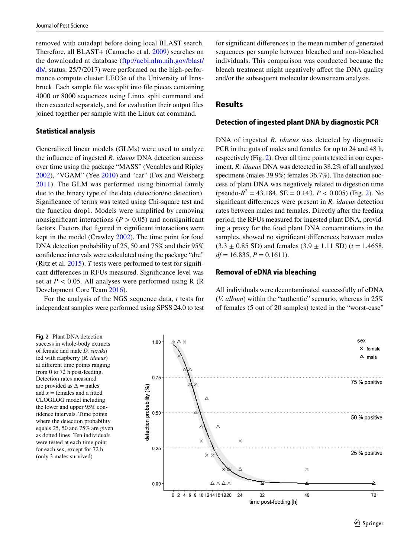removed with cutadapt before doing local BLAST search. Therefore, all BLAST+ (Camacho et al. [2009](#page-7-7)) searches on the downloaded nt database [\(ftp://ncbi.nlm.nih.gov/blast/](ftp://ncbi.nlm.nih.gov/blast/db/) [db/,](ftp://ncbi.nlm.nih.gov/blast/db/) status: 25/7/2017) were performed on the high-performance compute cluster LEO3e of the University of Innsbruck. Each sample fle was split into fle pieces containing 4000 or 8000 sequences using Linux split command and then executed separately, and for evaluation their output fles joined together per sample with the Linux cat command.

#### **Statistical analysis**

Generalized linear models (GLMs) were used to analyze the infuence of ingested *R. idaeus* DNA detection success over time using the package "MASS" (Venables and Ripley [2002](#page-9-4)), "VGAM" (Yee [2010](#page-9-5)) and "car" (Fox and Weisberg [2011\)](#page-8-22). The GLM was performed using binomial family due to the binary type of the data (detection/no detection). Signifcance of terms was tested using Chi-square test and the function drop1. Models were simplifed by removing nonsignificant interactions ( $P > 0.05$ ) and nonsignificant factors. Factors that fgured in signifcant interactions were kept in the model (Crawley [2002\)](#page-8-23). The time point for food DNA detection probability of 25, 50 and 75% and their 95% confdence intervals were calculated using the package "drc" (Ritz et al. [2015](#page-8-24)). *T* tests were performed to test for signifcant diferences in RFUs measured. Signifcance level was set at  $P < 0.05$ . All analyses were performed using R (R) Development Core Team [2016\)](#page-8-25).

For the analysis of the NGS sequence data, *t* tests for independent samples were performed using SPSS 24.0 to test for signifcant diferences in the mean number of generated sequences per sample between bleached and non-bleached individuals. This comparison was conducted because the bleach treatment might negatively affect the DNA quality and/or the subsequent molecular downstream analysis.

## **Results**

#### **Detection of ingested plant DNA by diagnostic PCR**

DNA of ingested *R. idaeus* was detected by diagnostic PCR in the guts of males and females for up to 24 and 48 h, respectively (Fig. [2](#page-4-0)). Over all time points tested in our experiment, *R. idaeus* DNA was detected in 38.2% of all analyzed specimens (males 39.9%; females 36.7%). The detection success of plant DNA was negatively related to digestion time  $(\text{pseudo-R}^2 = 43.184, \text{SE} = 0.143, P < 0.005) \text{ (Fig. 2). No}$  $(\text{pseudo-R}^2 = 43.184, \text{SE} = 0.143, P < 0.005) \text{ (Fig. 2). No}$  $(\text{pseudo-R}^2 = 43.184, \text{SE} = 0.143, P < 0.005) \text{ (Fig. 2). No}$ signifcant diferences were present in *R. idaeus* detection rates between males and females. Directly after the feeding period, the RFUs measured for ingested plant DNA, providing a proxy for the food plant DNA concentrations in the samples, showed no signifcant diferences between males  $(3.3 \pm 0.85$  SD) and females  $(3.9 \pm 1.11$  SD)  $(t = 1.4658,$  $df = 16.835, P = 0.1611$ .

#### **Removal of eDNA via bleaching**

All individuals were decontaminated successfully of eDNA (*V. album*) within the "authentic" scenario, whereas in 25% of females (5 out of 20 samples) tested in the "worst-case"

<span id="page-4-0"></span>**Fig. 2** Plant DNA detection success in whole-body extracts of female and male *D. suzukii* fed with raspberry (*R. idaeus*) at diferent time points ranging from 0 to 72 h post-feeding. Detection rates measured are provided as  $\Delta$  = males and  $x =$  females and a fitted CLOGLOG model including the lower and upper 95% confdence intervals. Time points where the detection probability equals 25, 50 and 75% are given as dotted lines. Ten individuals were tested at each time point for each sex, except for 72 h (only 3 males survived)

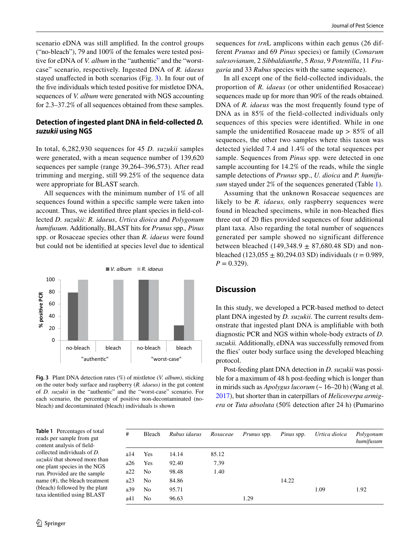scenario eDNA was still amplifed. In the control groups ("no-bleach"), 79 and 100% of the females were tested positive for eDNA of *V. album* in the "authentic" and the "worstcase" scenario, respectively. Ingested DNA of *R. idaeus* stayed unafected in both scenarios (Fig. [3](#page-5-0)). In four out of the fve individuals which tested positive for mistletoe DNA, sequences of *V. album* were generated with NGS accounting for 2.3–37.2% of all sequences obtained from these samples.

## **Detection of ingested plant DNA in feld‑collected** *D. suzukii* **using NGS**

In total, 6,282,930 sequences for 45 *D. suzukii* samples were generated, with a mean sequence number of 139,620 sequences per sample (range 39,264–396,573). After read trimming and merging, still 99.25% of the sequence data were appropriate for BLAST search.

All sequences with the minimum number of 1% of all sequences found within a specifc sample were taken into account. Thus, we identifed three plant species in feld-collected *D. suzukii*: *R. idaeus*, *Urtica dioica* and *Polygonum humifusum*. Additionally, BLAST hits for *Prunus* spp.*, Pinus* spp. or Rosaceae species other than *R. idaeus* were found but could not be identifed at species level due to identical



<span id="page-5-0"></span>**Fig. 3** Plant DNA detection rates (%) of mistletoe (*V. album)*, sticking on the outer body surface and raspberry (*R. idaeus)* in the gut content of *D. suzukii* in the "authentic" and the "worst-case" scenario. For each scenario, the percentage of positive non-decontaminated (nobleach) and decontaminated (bleach) individuals is shown

sequences for *trn*L amplicons within each genus (26 different *Prunus* and 69 *Pinus* species) or family (*Comarum salesovianum*, 2 *Sibbaldianthe*, 5 *Rosa*, 9 *Potentilla*, 11 *Fragaria* and 33 *Rubus* species with the same sequence).

In all except one of the feld-collected individuals, the proportion of *R. idaeus* (or other unidentifed Rosaceae) sequences made up for more than 90% of the reads obtained. DNA of *R. idaeus* was the most frequently found type of DNA as in 85% of the field-collected individuals only sequences of this species were identifed. While in one sample the unidentifed Rosaceae made up > 85% of all sequences, the other two samples where this taxon was detected yielded 7.4 and 1.4% of the total sequences per sample. Sequences from *Pinus* spp. were detected in one sample accounting for 14.2% of the reads, while the single sample detections of *Prunus* spp., *U. dioica* and *P. humifusum* stayed under 2% of the sequences generated (Table [1](#page-5-1)).

Assuming that the unknown Rosaceae sequences are likely to be *R. idaeus,* only raspberry sequences were found in bleached specimens, while in non-bleached fies three out of 20 fies provided sequences of four additional plant taxa. Also regarding the total number of sequences generated per sample showed no significant difference between bleached (149,348.9  $\pm$  87,680.48 SD) and nonbleached (123,055  $\pm$  80,294.03 SD) individuals ( $t = 0.989$ ,  $P = 0.329$ .

## **Discussion**

In this study, we developed a PCR-based method to detect plant DNA ingested by *D. suzukii*. The current results demonstrate that ingested plant DNA is amplifable with both diagnostic PCR and NGS within whole-body extracts of *D. suzukii.* Additionally, eDNA was successfully removed from the fies' outer body surface using the developed bleaching protocol.

Post-feeding plant DNA detection in *D. suzukii* was possible for a maximum of 48 h post-feeding which is longer than in mirids such as *Apolygus lucorum* (~ 16–20 h) (Wang et al. [2017](#page-9-6)), but shorter than in caterpillars of *Helicoverpa armigera* or *Tuta absoluta* (50% detection after 24 h) (Pumarino

<span id="page-5-1"></span>**Table 1** Percentages of total reads per sample from gut content analysis of feldcollected individuals of *D. suzukii* that showed more than one plant species in the NGS run. Provided are the sample name (#), the bleach treatment (bleach) followed by the plant taxa identifed using BLAST

| #   | Bleach         | Rubus idaeus | Rosaceae | <i>Prunus</i> spp. | <i>Pinus</i> spp. | Urtica dioica | Polygonum<br>humifusum |
|-----|----------------|--------------|----------|--------------------|-------------------|---------------|------------------------|
| a14 | Yes            | 14.14        | 85.12    |                    |                   |               |                        |
| a26 | Yes            | 92.40        | 7.39     |                    |                   |               |                        |
| a22 | N <sub>0</sub> | 98.48        | 1.40     |                    |                   |               |                        |
| a23 | N <sub>0</sub> | 84.86        |          |                    | 14.22             |               |                        |
| a39 | N <sub>0</sub> | 95.71        |          |                    |                   | 1.09          | 1.92                   |
| a41 | N <sub>0</sub> | 96.63        |          | 1.29               |                   |               |                        |
|     |                |              |          |                    |                   |               |                        |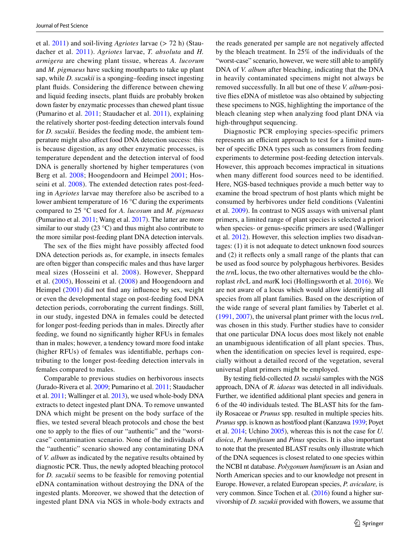et al. [2011](#page-8-26)) and soil-living *Agriotes* larvae (> 72 h) (Staudacher et al. [2011](#page-8-27)). *Agriotes* larvae, *T. absoluta* and *H. armigera* are chewing plant tissue, whereas *A. lucorum* and *M. pigmaeus* have sucking mouthparts to take up plant sap, while *D. suzukii* is a sponging–feeding insect ingesting plant fuids. Considering the diference between chewing and liquid feeding insects, plant fuids are probably broken down faster by enzymatic processes than chewed plant tissue (Pumarino et al. [2011](#page-8-26); Staudacher et al. [2011](#page-8-27)), explaining the relatively shorter post-feeding detection intervals found for *D. suzukii*. Besides the feeding mode, the ambient temperature might also afect food DNA detection success: this is because digestion, as any other enzymatic processes, is temperature dependent and the detection interval of food DNA is generally shortened by higher temperatures (von Berg et al. [2008](#page-9-7); Hoogendoorn and Heimpel [2001](#page-8-28); Hosseini et al. [2008](#page-8-29)). The extended detection rates post-feeding in *Agriotes* larvae may therefore also be ascribed to a lower ambient temperature of 16 °C during the experiments compared to 25 °C used for *A. lucosum* and *M. pigmaeus* (Pumarino et al. [2011;](#page-8-26) Wang et al. [2017\)](#page-9-6). The latter are more similar to our study  $(23 \degree C)$  and thus might also contribute to the more similar post-feeding plant DNA detection intervals.

The sex of the flies might have possibly affected food DNA detection periods as, for example, in insects females are often bigger than conspecifc males and thus have larger meal sizes (Hosseini et al. [2008\)](#page-8-29). However, Sheppard et al. [\(2005\)](#page-8-30), Hosseini et al. ([2008\)](#page-8-29) and Hoogendoorn and Heimpel ([2001](#page-8-28)) did not fnd any infuence by sex, weight or even the developmental stage on post-feeding food DNA detection periods, corroborating the current fndings. Still, in our study, ingested DNA in females could be detected for longer post-feeding periods than in males. Directly after feeding, we found no signifcantly higher RFUs in females than in males; however, a tendency toward more food intake (higher RFUs) of females was identifable, perhaps contributing to the longer post-feeding detection intervals in females compared to males.

Comparable to previous studies on herbivorous insects (Jurado-Rivera et al. [2009](#page-8-31); Pumarino et al. [2011](#page-8-26); Staudacher et al. [2011](#page-8-27); Wallinger et al. [2013](#page-9-2)), we used whole-body DNA extracts to detect ingested plant DNA. To remove unwanted DNA which might be present on the body surface of the fies, we tested several bleach protocols and chose the best one to apply to the fies of our "authentic" and the "worstcase" contamination scenario. None of the individuals of the "authentic" scenario showed any contaminating DNA of *V. album* as indicated by the negative results obtained by diagnostic PCR. Thus, the newly adopted bleaching protocol for *D. suzukii* seems to be feasible for removing potential eDNA contamination without destroying the DNA of the ingested plants. Moreover, we showed that the detection of ingested plant DNA via NGS in whole-body extracts and the reads generated per sample are not negatively afected by the bleach treatment. In 25% of the individuals of the "worst-case" scenario, however, we were still able to amplify DNA of *V. album* after bleaching, indicating that the DNA in heavily contaminated specimens might not always be removed successfully. In all but one of these *V. album*-positive fies eDNA of mistletoe was also obtained by subjecting these specimens to NGS, highlighting the importance of the bleach cleaning step when analyzing food plant DNA via high-throughput sequencing.

Diagnostic PCR employing species-specific primers represents an efficient approach to test for a limited number of specifc DNA types such as consumers from feeding experiments to determine post-feeding detection intervals. However, this approach becomes impractical in situations when many diferent food sources need to be identifed. Here, NGS-based techniques provide a much better way to examine the broad spectrum of host plants which might be consumed by herbivores under feld conditions (Valentini et al. [2009\)](#page-9-8). In contrast to NGS assays with universal plant primers, a limited range of plant species is selected a priori when species- or genus-specifc primers are used (Wallinger et al. [2012\)](#page-9-9). However, this selection implies two disadvantages: (1) it is not adequate to detect unknown food sources and (2) it refects only a small range of the plants that can be used as food source by polyphagous herbivores. Besides the *trn*L locus, the two other alternatives would be the chloroplast *rbc*L and *mat*K loci (Hollingsworth et al. [2016\)](#page-8-32). We are not aware of a locus which would allow identifying all species from all plant families. Based on the description of the wide range of several plant families by Taberlet et al. [\(1991,](#page-8-18) [2007](#page-8-20)), the universal plant primer with the locus *trn*L was chosen in this study. Further studies have to consider that one particular DNA locus does most likely not enable an unambiguous identifcation of all plant species. Thus, when the identifcation on species level is required, especially without a detailed record of the vegetation, several universal plant primers might be employed.

By testing feld-collected *D. suzukii* samples with the NGS approach, DNA of *R. idaeus* was detected in all individuals. Further, we identifed additional plant species and genera in 6 of the 40 individuals tested. The BLAST hits for the family Rosaceae or *Prunus* spp. resulted in multiple species hits. *Prunus* spp. is known as host/food plant (Kanzawa [1939](#page-8-11); Poyet et al. [2014](#page-8-8); Uchino [2005\)](#page-9-10), whereas this is not the case for *U. dioica*, *P. humifusum* and *Pinus* species. It is also important to note that the presented BLAST results only illustrate which of the DNA sequences is closest related to one species within the NCBI nt database. *Polygonum humifusum* is an Asian and North American species and to our knowledge not present in Europe. However, a related European species, *P. aviculare,* is very common. Since Tochen et al. [\(2016\)](#page-9-0) found a higher survivorship of *D. suzukii* provided with fowers, we assume that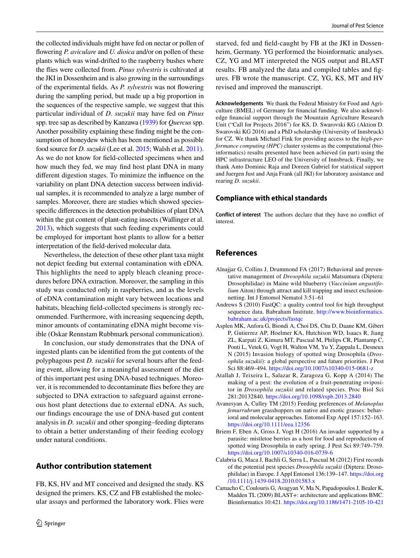the collected individuals might have fed on nectar or pollen of fowering *P. aviculare* and *U. dioica* and/or on pollen of these plants which was wind-drifted to the raspberry bushes where the fies were collected from. *Pinus sylvestris* is cultivated at the JKI in Dossenheim and is also growing in the surroundings of the experimental felds. As *P. sylvestris* was not fowering during the sampling period, but made up a big proportion in the sequences of the respective sample, we suggest that this particular individual of *D. suzukii* may have fed on *Pinus* spp. tree sap as described by Kanzawa [\(1939\)](#page-8-11) for *Quercus* spp. Another possibility explaining these fnding might be the consumption of honeydew which has been mentioned as possible food source for *D. suzukii* (Lee et al. [2015;](#page-8-33) Walsh et al. [2011](#page-9-11)). As we do not know for feld-collected specimens when and how much they fed, we may fnd host plant DNA in many diferent digestion stages. To minimize the infuence on the variability on plant DNA detection success between individual samples, it is recommended to analyze a large number of samples. Moreover, there are studies which showed speciesspecifc diferences in the detection probabilities of plant DNA within the gut content of plant-eating insects (Wallinger et al. [2013](#page-9-2)), which suggests that such feeding experiments could be employed for important host plants to allow for a better interpretation of the feld-derived molecular data.

Nevertheless, the detection of these other plant taxa might not depict feeding but external contamination with eDNA. This highlights the need to apply bleach cleaning procedures before DNA extraction. Moreover, the sampling in this study was conducted only in raspberries, and as the levels of eDNA contamination might vary between locations and habitats, bleaching feld-collected specimens is strongly recommended. Furthermore, with increasing sequencing depth, minor amounts of contaminating eDNA might become visible (Oskar Rennstam Rubbmark personal communication).

In conclusion, our study demonstrates that the DNA of ingested plants can be identifed from the gut contents of the polyphagous pest *D. suzukii* for several hours after the feeding event, allowing for a meaningful assessment of the diet of this important pest using DNA-based techniques. Moreover, it is recommended to decontaminate fies before they are subjected to DNA extraction to safeguard against erroneous host plant detections due to external eDNA. As such, our fndings encourage the use of DNA-based gut content analysis in *D. suzukii* and other sponging–feeding dipterans to obtain a better understanding of their feeding ecology under natural conditions.

# **Author contribution statement**

FB, KS, HV and MT conceived and designed the study. KS designed the primers. KS, CZ and FB established the molecular assays and performed the laboratory work. Flies were starved, fed and feld-caught by FB at the JKI in Dossenheim, Germany. YG performed the bioinformatic analyses. CZ, YG and MT interpreted the NGS output and BLAST results. FB analyzed the data and compiled tables and fgures. FB wrote the manuscript. CZ, YG, KS, MT and HV revised and improved the manuscript.

**Acknowledgements** We thank the Federal Ministry for Food and Agriculture (BMEL) of Germany for fnancial funding. We also acknowledge fnancial support through the Mountain Agriculture Research Unit ("Call for Projects 2016") for KS, D. Swarovski KG (Aktion D. Swarovski KG 2016) and a PhD scholarship (University of Innsbruck) for CZ. We thank Michael Fink for providing access to the *high-performance computing (HPC)* cluster systems as the computational (bioinformatics) results presented have been achieved (in part) using the HPC infrastructure LEO of the University of Innsbruck. Finally, we thank Anto Dominic Raja and Doreen Gabriel for statistical support and Juergen Just and Anja Frank (all JKI) for laboratory assistance and rearing *D. suzukii*.

#### **Compliance with ethical standards**

**Conflict of interest** The authors declare that they have no confict of interest.

## **References**

- <span id="page-7-4"></span>Alnajjar G, Collins J, Drummond FA (2017) Behavioral and preventative management of *Drosophila suzukii* Matsumura (Diptera: Drosophilidae) in Maine wild blueberry (*Vaccinium angustifolium* Aiton) through attract and kill trapping and insect exclusionnetting. Int J Entomol Nematol 3:51–61
- <span id="page-7-6"></span>Andrews S (2010) FastQC: a quality control tool for high throughput sequence data. Babraham Institute. [http://www.bioinformatics.](http://www.bioinformatics.babraham.ac.uk/projects/fastqc) [babraham.ac.uk/projects/fastqc](http://www.bioinformatics.babraham.ac.uk/projects/fastqc)
- <span id="page-7-0"></span>Asplen MK, Anfora G, Biondi A, Choi DS, Chu D, Daane KM, Gibert P, Gutierrez AP, Hoelmer KA, Hutchison WD, Isaacs R, Jiang ZL, Karpati Z, Kimura MT, Pascual M, Philips CR, Plantamp C, Ponti L, Vetek G, Vogt H, Walton VM, Yu Y, Zappala L, Desneux N (2015) Invasion biology of spotted wing Drosophila (*Drosophila suzukii*): a global perspective and future priorities. J Pest Sci 88:469–494.<https://doi.org/10.1007/s10340-015-0681-z>
- <span id="page-7-1"></span>Atallah J, Teixeira L, Salazar R, Zaragoza G, Kopp A (2014) The making of a pest: the evolution of a fruit-penetrating ovipositor in *Drosophila suzukii* and related species. Proc Biol Sci 281:20132840.<https://doi.org/10.1098/rspb.2013.2840>
- <span id="page-7-5"></span>Avanesyan A, Culley TM (2015) Feeding preferences of *Melanoplus femurrubrum* grasshoppers on native and exotic grasses: behavioral and molecular approaches. Entomol Exp Appl 157:152–163. <https://doi.org/10.1111/eea.12356>
- <span id="page-7-3"></span>Briem F, Eben A, Gross J, Vogt H (2016) An invader supported by a parasite: mistletoe berries as a host for food and reproduction of spotted wing Drosophila in early spring. J Pest Sci 89:749–759. <https://doi.org/10.1007/s10340-016-0739-6>
- <span id="page-7-2"></span>Calabria G, Maca J, Bachli G, Serra L, Pascual M (2012) First records of the potential pest species *Drosophila suzukii* (Diptera: Drosophilidae) in Europe. J Appl Entomol 136:139–147. [https://doi.org](https://doi.org/10.1111/j.1439-0418.2010.01583.x) [/10.1111/j.1439-0418.2010.01583.x](https://doi.org/10.1111/j.1439-0418.2010.01583.x)
- <span id="page-7-7"></span>Camacho C, Coulouris G, Avagyan V, Ma N, Papadopoulos J, Bealer K, Madden TL (2009) BLAST+: architecture and applications BMC. Bioinformatics 10:421.<https://doi.org/10.1186/1471-2105-10-421>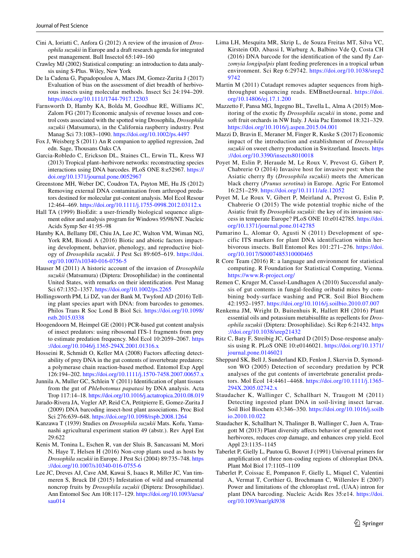- <span id="page-8-2"></span>Cini A, Ioriatti C, Anfora G (2012) A review of the invasion of *Drosophila suzukii* in Europe and a draft research agenda for integrated pest management. Bull Insectol 65:149–160
- <span id="page-8-23"></span>Crawley MJ (2002) Statistical computing: an introduction to data analysis using S-Plus. Wiley, New York
- <span id="page-8-12"></span>De la Cadena G, Papadopoulou A, Maes JM, Gomez-Zurita J (2017) Evaluation of bias on the assessment of diet breadth of herbivorous insects using molecular methods. Insect Sci 24:194–209. <https://doi.org/10.1111/1744-7917.12303>
- <span id="page-8-0"></span>Farnsworth D, Hamby KA, Bolda M, Goodhue RE, Williams JC, Zalom FG (2017) Economic analysis of revenue losses and control costs associated with the spotted wing Drosophila, *Drosophila suzukii* (Matsumura), in the California raspberry industry. Pest Manag Sci 73:1083–1090. <https://doi.org/10.1002/ps.4497>
- <span id="page-8-22"></span>Fox J, Weisberg S (2011) An R companion to applied regression, 2nd edn. Sage, Thousans Oaks CA
- <span id="page-8-9"></span>Garcia-Robledo C, Erickson DL, Staines CL, Erwin TL, Kress WJ (2013) Tropical plant–herbivore networks: reconstructing species interactions using DNA barcodes. PLoS ONE 8:e52967. [https://](https://doi.org/10.1371/journal.pone.0052967) [doi.org/10.1371/journal.pone.0052967](https://doi.org/10.1371/journal.pone.0052967)
- <span id="page-8-16"></span>Greenstone MH, Weber DC, Coudron TA, Payton ME, Hu JS (2012) Removing external DNA contamination from arthropod predators destined for molecular gut-content analysis. Mol Ecol Resour 12:464–469.<https://doi.org/10.1111/j.1755-0998.2012.03112.x>
- <span id="page-8-19"></span>Hall TA (1999) BioEdit: a user-friendly biological sequence alignment editor and analysis program for Windows 95/98/NT. Nucleic Acids Symp Ser 41:95–98
- <span id="page-8-6"></span>Hamby KA, Bellamy DE, Chiu JA, Lee JC, Walton VM, Wiman NG, York RM, Biondi A (2016) Biotic and abiotic factors impacting development, behavior, phenology, and reproductive biology of *Drosophila suzukii*. J Pest Sci 89:605–619. [https://doi.](https://doi.org/10.1007/s10340-016-0756-5) [org/10.1007/s10340-016-0756-5](https://doi.org/10.1007/s10340-016-0756-5)
- <span id="page-8-3"></span>Hauser M (2011) A historic account of the invasion of *Drosophila suzukii* (Matsumura) (Diptera: Drosophilidae) in the continental United States, with remarks on their identifcation. Pest Manag Sci 67:1352–1357. <https://doi.org/10.1002/ps.2265>
- <span id="page-8-32"></span>Hollingsworth PM, Li DZ, van der Bank M, Twyford AD (2016) Telling plant species apart with DNA: from barcodes to genomes. Philos Trans R Soc Lond B Biol Sci. [https://doi.org/10.1098/](https://doi.org/10.1098/rstb.2015.0338) [rstb.2015.0338](https://doi.org/10.1098/rstb.2015.0338)
- <span id="page-8-28"></span>Hoogendoorn M, Heimpel GE (2001) PCR-based gut content analysis of insect predators: using ribosomal ITS-1 fragments from prey to estimate predation frequency. Mol Ecol 10:2059–2067. [https](https://doi.org/10.1046/j.1365-294X.2001.01316.x) [://doi.org/10.1046/j.1365-294X.2001.01316.x](https://doi.org/10.1046/j.1365-294X.2001.01316.x)
- <span id="page-8-29"></span>Hosseini R, Schmidt O, Keller MA (2008) Factors affecting detectability of prey DNA in the gut contents of invertebrate predators: a polymerase chain reaction-based method. Entomol Exp Appl 126:194–202.<https://doi.org/10.1111/j.1570-7458.2007.00657.x>
- <span id="page-8-14"></span>Junnila A, Muller GC, Schlein Y (2011) Identifcation of plant tissues from the gut of *Phlebotomus papatasi* by DNA analysis. Acta Trop 117:14–18. <https://doi.org/10.1016/j.actatropica.2010.08.019>
- <span id="page-8-31"></span>Jurado-Rivera JA, Vogler AP, Reid CA, Petitpierre E, Gomez-Zurita J (2009) DNA barcoding insect-host plant associations. Proc Biol Sci 276:639–648. <https://doi.org/10.1098/rspb.2008.1264>
- <span id="page-8-11"></span>Kanzawa T (1939) Studies on *Drosophila suzukii* Mats. Kofu, Yamanashi agricultural experiment station 49 (abstr.). Rev Appl Ent 29:622
- <span id="page-8-4"></span>Kenis M, Tonina L, Eschen R, van der Sluis B, Sancassani M, Mori N, Haye T, Helsen H (2016) Non-crop plants used as hosts by *Drosophila suzukii* in Europe. J Pest Sci (2004) 89:735–748. [https](https://doi.org/10.1007/s10340-016-0755-6) [://doi.org/10.1007/s10340-016-0755-6](https://doi.org/10.1007/s10340-016-0755-6)
- <span id="page-8-33"></span>Lee JC, Dreves AJ, Cave AM, Kawai S, Isaacs R, Miller JC, Van timmeren S, Bruck DJ (2015) Infestation of wild and ornamental noncrop fruits by *Drosophila suzukii* (Diptera: Drosophilidae). Ann Entomol Soc Am 108:117–129. [https://doi.org/10.1093/aesa/](https://doi.org/10.1093/aesa/sau014) [sau014](https://doi.org/10.1093/aesa/sau014)
- <span id="page-8-15"></span>Lima LH, Mesquita MR, Skrip L, de Souza Freitas MT, Silva VC, Kirstein OD, Abassi I, Warburg A, Balbino Vde Q, Costa CH (2016) DNA barcode for the identifcation of the sand fy *Lutzomyia longipalpis* plant feeding preferences in a tropical urban environment. Sci Rep 6:29742. [https://doi.org/10.1038/srep2](https://doi.org/10.1038/srep29742) [9742](https://doi.org/10.1038/srep29742)
- <span id="page-8-21"></span>Martin M (2011) Cutadapt removes adapter sequences from highthroughput sequencing reads. EMBnetJournal. [https://doi.](https://doi.org/10.14806/ej.17.1.200) [org/10.14806/ej.17.1.200](https://doi.org/10.14806/ej.17.1.200)
- <span id="page-8-7"></span>Mazzetto F, Pansa MG, Ingegno BL, Tavella L, Alma A (2015) Monitoring of the exotic fy *Drosophila suzukii* in stone, pome and soft fruit orchards in NW Italy. J Asia Pac Entomol 18:321–329. <https://doi.org/10.1016/j.aspen.2015.04.001>
- <span id="page-8-1"></span>Mazzi D, Bravin E, Meraner M, Finger R, Kuske S (2017) Economic impact of the introduction and establishment of *Drosophila suzukii* on sweet cherry production in Switzerland. Insects. [https](https://doi.org/10.3390/insects8010018) [://doi.org/10.3390/insects8010018](https://doi.org/10.3390/insects8010018)
- <span id="page-8-8"></span>Poyet M, Eslin P, Heraude M, Le Roux V, Prevost G, Gibert P, Chabrerie O (2014) Invasive host for invasive pest: when the Asiatic cherry fy (*Drosophila suzukii*) meets the American black cherry (*Prunus serotina*) in Europe. Agric For Entomol 16:251–259. <https://doi.org/10.1111/afe.12052>
- <span id="page-8-5"></span>Poyet M, Le Roux V, Gibert P, Meirland A, Prevost G, Eslin P, Chabrerie O (2015) The wide potential trophic niche of the Asiatic fruit fy *Drosophila suzukii*: the key of its invasion success in temperate Europe? PLoS ONE 10:e0142785. [https://doi.](https://doi.org/10.1371/journal.pone.0142785) [org/10.1371/journal.pone.0142785](https://doi.org/10.1371/journal.pone.0142785)
- <span id="page-8-26"></span>Pumarino L, Alomar O, Agusti N (2011) Development of specific ITS markers for plant DNA identification within herbivorous insects. Bull Entomol Res 101:271–276. [https://doi.](https://doi.org/10.1017/S0007485310000465) [org/10.1017/S0007485310000465](https://doi.org/10.1017/S0007485310000465)
- <span id="page-8-25"></span>R Core Team (2016) R: a language and environment for statistical computing. R Foundation for Statistical Computing, Vienna. <https://www.R-project.org/>
- <span id="page-8-17"></span>Remen C, Kruger M, Cassel-Lundhagen A (2010) Successful analysis of gut contents in fungal-feeding oribatid mites by combining body-surface washing and PCR. Soil Biol Biochem 42:1952–1957. <https://doi.org/10.1016/j.soilbio.2010.07.007>
- <span id="page-8-10"></span>Renkema JM, Wright D, Buitenhuis R, Hallett RH (2016) Plant essential oils and potassium metabisulfte as repellents for *Drosophila suzukii* (Diptera: Drosophilidae). Sci Rep 6:21432. [https](https://doi.org/10.1038/srep21432) [://doi.org/10.1038/srep21432](https://doi.org/10.1038/srep21432)
- <span id="page-8-24"></span>Ritz C, Baty F, Streibig JC, Gerhard D (2015) Dose-response analysis using R. PLoS ONE 10:e0146021. [https://doi.org/10.1371/](https://doi.org/10.1371/journal.pone.0146021) [journal.pone.0146021](https://doi.org/10.1371/journal.pone.0146021)
- <span id="page-8-30"></span>Sheppard SK, Bell J, Sunderland KD, Fenlon J, Skervin D, Symondson WO (2005) Detection of secondary predation by PCR analyses of the gut contents of invertebrate generalist predators. Mol Ecol 14:4461–4468. [https://doi.org/10.1111/j.1365-](https://doi.org/10.1111/j.1365-294X.2005.02742.x) [294X.2005.02742.x](https://doi.org/10.1111/j.1365-294X.2005.02742.x)
- <span id="page-8-27"></span>Staudacher K, Wallinger C, Schallhart N, Traugott M (2011) Detecting ingested plant DNA in soil-living insect larvae. Soil Biol Biochem 43:346–350. [https://doi.org/10.1016/j.soilb](https://doi.org/10.1016/j.soilbio.2010.10.022) [io.2010.10.022](https://doi.org/10.1016/j.soilbio.2010.10.022)
- <span id="page-8-13"></span>Staudacher K, Schallhart N, Thalinger B, Wallinger C, Juen A, Traugott M (2013) Plant diversity afects behavior of generalist root herbivores, reduces crop damage, and enhances crop yield. Ecol Appl 23:1135–1145
- <span id="page-8-18"></span>Taberlet P, Gielly L, Pautou G, Bouvet J (1991) Universal primers for amplifcation of three non-coding regions of chloroplast DNA. Plant Mol Biol 17:1105–1109
- <span id="page-8-20"></span>Taberlet P, Coissac E, Pompanon F, Gielly L, Miquel C, Valentini A, Vermat T, Corthier G, Brochmann C, Willerslev E (2007) Power and limitations of the chloroplast *trn*L (UAA) intron for plant DNA barcoding. Nucleic Acids Res 35:e14. [https://doi.](https://doi.org/10.1093/nar/gkl938) [org/10.1093/nar/gkl938](https://doi.org/10.1093/nar/gkl938)